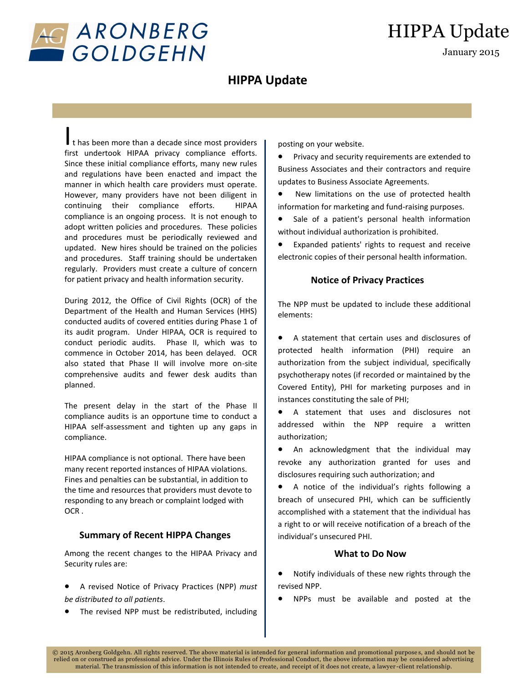

# HIPPA Update

January 2015

# **HIPPA Update**

I t has been more than a decade since most providers first undertook HIPAA privacy compliance efforts. Since these initial compliance efforts, many new rules and regulations have been enacted and impact the manner in which health care providers must operate. However, many providers have not been diligent in continuing their compliance efforts. HIPAA compliance is an ongoing process. It is not enough to adopt written policies and procedures. These policies and procedures must be periodically reviewed and updated. New hires should be trained on the policies and procedures. Staff training should be undertaken regularly. Providers must create a culture of concern for patient privacy and health information security.

During 2012, the Office of Civil Rights (OCR) of the Department of the Health and Human Services (HHS) conducted audits of covered entities during Phase 1 of its audit program. Under HIPAA, OCR is required to conduct periodic audits. Phase II, which was to commence in October 2014, has been delayed. OCR also stated that Phase II will involve more on-site comprehensive audits and fewer desk audits than planned.

The present delay in the start of the Phase II compliance audits is an opportune time to conduct a HIPAA self-assessment and tighten up any gaps in compliance.

HIPAA compliance is not optional. There have been many recent reported instances of HIPAA violations. Fines and penalties can be substantial, in addition to the time and resources that providers must devote to responding to any breach or complaint lodged with OCR .

### **Summary of Recent HIPPA Changes**

Among the recent changes to the HIPAA Privacy and Security rules are:

- A revised Notice of Privacy Practices (NPP) *must be distributed to all patients*.
- The revised NPP must be redistributed, including

posting on your website.

**•** Privacy and security requirements are extended to Business Associates and their contractors and require updates to Business Associate Agreements.

 New limitations on the use of protected health information for marketing and fund-raising purposes.

• Sale of a patient's personal health information without individual authorization is prohibited.

 Expanded patients' rights to request and receive electronic copies of their personal health information.

## **Notice of Privacy Practices**

The NPP must be updated to include these additional elements:

 A statement that certain uses and disclosures of protected health information (PHI) require an authorization from the subject individual, specifically psychotherapy notes (if recorded or maintained by the Covered Entity), PHI for marketing purposes and in instances constituting the sale of PHI;

 A statement that uses and disclosures not addressed within the NPP require a written authorization;

 An acknowledgment that the individual may revoke any authorization granted for uses and disclosures requiring such authorization; and

 A notice of the individual's rights following a breach of unsecured PHI, which can be sufficiently accomplished with a statement that the individual has a right to or will receive notification of a breach of the individual's unsecured PHI.

### **What to Do Now**

 Notify individuals of these new rights through the revised NPP.

NPPs must be available and posted at the